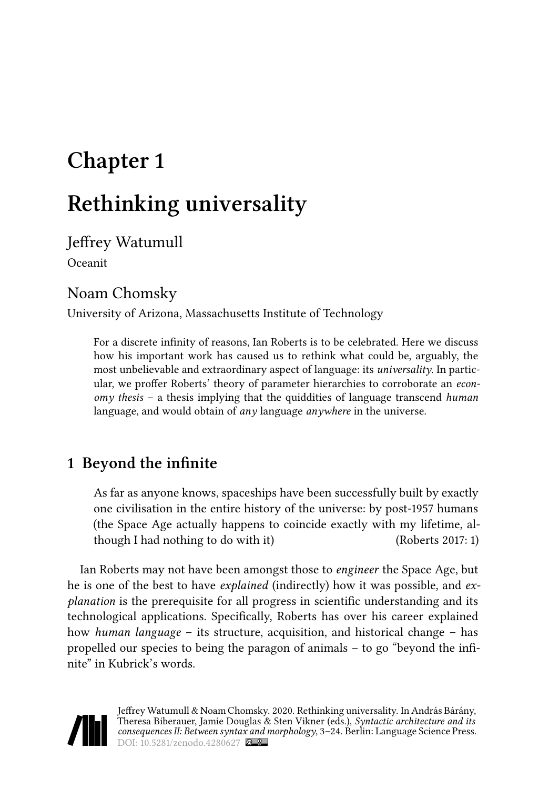# **Chapter 1**

# **Rethinking universality**

Jeffrey Watumull Oceanit

### Noam Chomsky

University of Arizona, Massachusetts Institute of Technology

For a discrete infinity of reasons, Ian Roberts is to be celebrated. Here we discuss how his important work has caused us to rethink what could be, arguably, the most unbelievable and extraordinary aspect of language: its *universality*. In particular, we proffer Roberts' theory of parameter hierarchies to corroborate an *economy thesis* – a thesis implying that the quiddities of language transcend *human* language, and would obtain of *any* language *anywhere* in the universe.

# **1 Beyond the infinite**

As far as anyone knows, spaceships have been successfully built by exactly one civilisation in the entire history of the universe: by post-1957 humans (the Space Age actually happens to coincide exactly with my lifetime, although I had nothing to do with it) ([Roberts 2017:](#page-20-0) 1)

Ian Roberts may not have been amongst those to *engineer* the Space Age, but he is one of the best to have *explained* (indirectly) how it was possible, and *explanation* is the prerequisite for all progress in scientific understanding and its technological applications. Specifically, Roberts has over his career explained how *human language* – its structure, acquisition, and historical change – has propelled our species to being the paragon of animals – to go "beyond the infinite" in Kubrick's words.

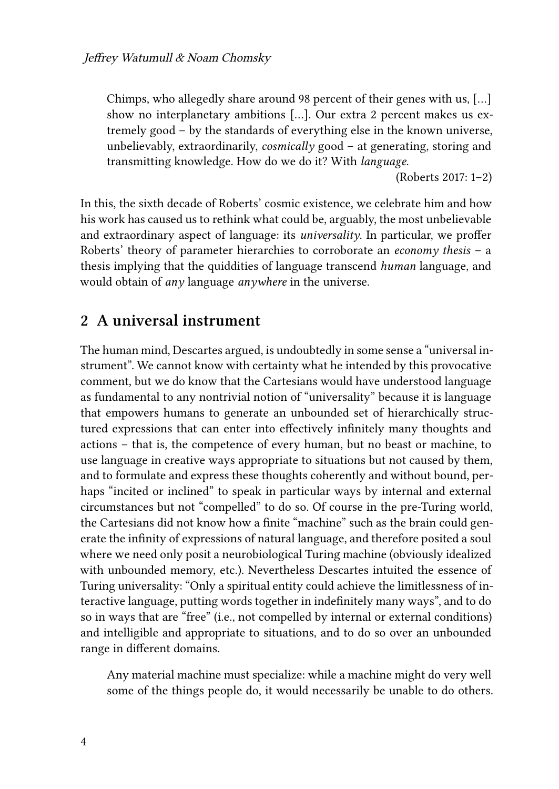Chimps, who allegedly share around 98 percent of their genes with us, […] show no interplanetary ambitions […]. Our extra 2 percent makes us extremely good – by the standards of everything else in the known universe, unbelievably, extraordinarily, *cosmically* good – at generating, storing and transmitting knowledge. How do we do it? With *language*.

([Roberts 2017:](#page-20-0) 1–2)

In this, the sixth decade of Roberts' cosmic existence, we celebrate him and how his work has caused us to rethink what could be, arguably, the most unbelievable and extraordinary aspect of language: its *universality*. In particular, we proffer Roberts' theory of parameter hierarchies to corroborate an *economy thesis* – a thesis implying that the quiddities of language transcend *human* language, and would obtain of *any* language *anywhere* in the universe.

#### **2 A universal instrument**

The human mind, Descartes argued, is undoubtedly in some sense a "universal instrument". We cannot know with certainty what he intended by this provocative comment, but we do know that the Cartesians would have understood language as fundamental to any nontrivial notion of "universality" because it is language that empowers humans to generate an unbounded set of hierarchically structured expressions that can enter into effectively infinitely many thoughts and actions – that is, the competence of every human, but no beast or machine, to use language in creative ways appropriate to situations but not caused by them, and to formulate and express these thoughts coherently and without bound, perhaps "incited or inclined" to speak in particular ways by internal and external circumstances but not "compelled" to do so. Of course in the pre-Turing world, the Cartesians did not know how a finite "machine" such as the brain could generate the infinity of expressions of natural language, and therefore posited a soul where we need only posit a neurobiological Turing machine (obviously idealized with unbounded memory, etc.). Nevertheless Descartes intuited the essence of Turing universality: "Only a spiritual entity could achieve the limitlessness of interactive language, putting words together in indefinitely many ways", and to do so in ways that are "free" (i.e., not compelled by internal or external conditions) and intelligible and appropriate to situations, and to do so over an unbounded range in different domains.

Any material machine must specialize: while a machine might do very well some of the things people do, it would necessarily be unable to do others.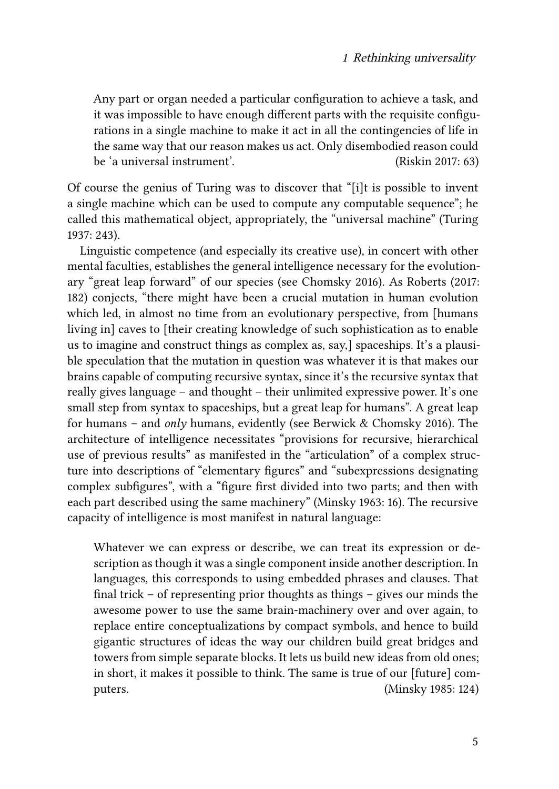Any part or organ needed a particular configuration to achieve a task, and it was impossible to have enough different parts with the requisite configurations in a single machine to make it act in all the contingencies of life in the same way that our reason makes us act. Only disembodied reason could be 'a universal instrument'. [\(Riskin 2017](#page-20-1): 63)

Of course the genius of Turing was to discover that "[i]t is possible to invent a single machine which can be used to compute any computable sequence"; he called this mathematical object, appropriately, the "universal machine" [\(Turing](#page-21-0) [1937](#page-21-0): 243).

Linguistic competence (and especially its creative use), in concert with other mental faculties, establishes the general intelligence necessary for the evolutionary "great leap forward" of our species (see [Chomsky 2016](#page-19-0)). As [Roberts \(2017](#page-20-0): 182) conjects, "there might have been a crucial mutation in human evolution which led, in almost no time from an evolutionary perspective, from [humans living in] caves to [their creating knowledge of such sophistication as to enable us to imagine and construct things as complex as, say,] spaceships. It's a plausible speculation that the mutation in question was whatever it is that makes our brains capable of computing recursive syntax, since it's the recursive syntax that really gives language – and thought – their unlimited expressive power. It's one small step from syntax to spaceships, but a great leap for humans". A great leap for humans – and *only* humans, evidently (see [Berwick & Chomsky 2016](#page-18-0)). The architecture of intelligence necessitates "provisions for recursive, hierarchical use of previous results" as manifested in the "articulation" of a complex structure into descriptions of "elementary figures" and "subexpressions designating complex subfigures", with a "figure first divided into two parts; and then with each part described using the same machinery"([Minsky 1963](#page-20-2): 16). The recursive capacity of intelligence is most manifest in natural language:

Whatever we can express or describe, we can treat its expression or description as though it was a single component inside another description. In languages, this corresponds to using embedded phrases and clauses. That final trick – of representing prior thoughts as things – gives our minds the awesome power to use the same brain-machinery over and over again, to replace entire conceptualizations by compact symbols, and hence to build gigantic structures of ideas the way our children build great bridges and towers from simple separate blocks. It lets us build new ideas from old ones; in short, it makes it possible to think. The same is true of our [future] computers. ([Minsky 1985](#page-20-3): 124)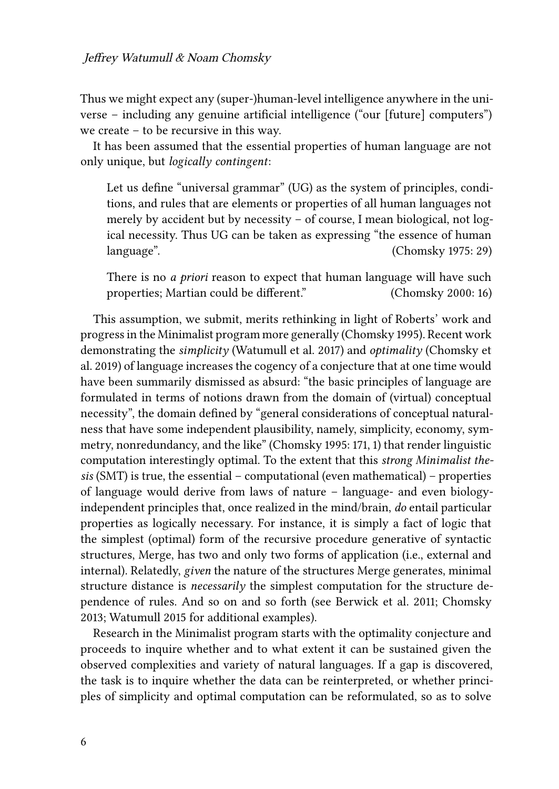Thus we might expect any (super-)human-level intelligence anywhere in the universe – including any genuine artificial intelligence ("our [future] computers") we create – to be recursive in this way.

It has been assumed that the essential properties of human language are not only unique, but *logically contingent*:

Let us define "universal grammar" (UG) as the system of principles, conditions, and rules that are elements or properties of all human languages not merely by accident but by necessity – of course, I mean biological, not logical necessity. Thus UG can be taken as expressing "the essence of human language". [\(Chomsky 1975](#page-18-1): 29)

There is no *a priori* reason to expect that human language will have such properties; Martian could be different." [\(Chomsky 2000:](#page-19-1) 16)

This assumption, we submit, merits rethinking in light of Roberts' work and progress in the Minimalist program more generally([Chomsky 1995](#page-19-2)). Recent work demonstrating the *simplicity* [\(Watumull et al. 2017](#page-21-1)) and *optimality* [\(Chomsky et](#page-19-3) [al. 2019](#page-19-3)) of language increases the cogency of a conjecture that at one time would have been summarily dismissed as absurd: "the basic principles of language are formulated in terms of notions drawn from the domain of (virtual) conceptual necessity", the domain defined by "general considerations of conceptual naturalness that have some independent plausibility, namely, simplicity, economy, symmetry, nonredundancy, and the like" [\(Chomsky 1995](#page-19-2): 171, 1) that render linguistic computation interestingly optimal. To the extent that this *strong Minimalist thesis* (SMT) is true, the essential – computational (even mathematical) – properties of language would derive from laws of nature – language- and even biologyindependent principles that, once realized in the mind/brain, *do* entail particular properties as logically necessary. For instance, it is simply a fact of logic that the simplest (optimal) form of the recursive procedure generative of syntactic structures, Merge, has two and only two forms of application (i.e., external and internal). Relatedly, *given* the nature of the structures Merge generates, minimal structure distance is *necessarily* the simplest computation for the structure dependence of rules. And so on and so forth (see [Berwick et al. 2011](#page-18-2); [Chomsky](#page-19-4) [2013](#page-19-4); [Watumull 2015](#page-21-2) for additional examples).

Research in the Minimalist program starts with the optimality conjecture and proceeds to inquire whether and to what extent it can be sustained given the observed complexities and variety of natural languages. If a gap is discovered, the task is to inquire whether the data can be reinterpreted, or whether principles of simplicity and optimal computation can be reformulated, so as to solve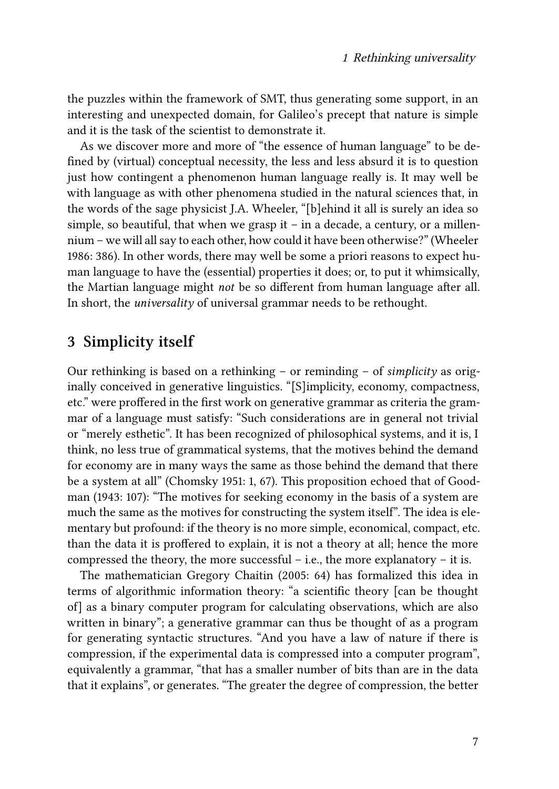the puzzles within the framework of SMT, thus generating some support, in an interesting and unexpected domain, for Galileo's precept that nature is simple and it is the task of the scientist to demonstrate it.

As we discover more and more of "the essence of human language" to be defined by (virtual) conceptual necessity, the less and less absurd it is to question just how contingent a phenomenon human language really is. It may well be with language as with other phenomena studied in the natural sciences that, in the words of the sage physicist J.A. Wheeler, "[b]ehind it all is surely an idea so simple, so beautiful, that when we grasp it  $-$  in a decade, a century, or a millennium – we will all say to each other, how could it have been otherwise?"([Wheeler](#page-21-3) [1986](#page-21-3): 386). In other words, there may well be some a priori reasons to expect human language to have the (essential) properties it does; or, to put it whimsically, the Martian language might *not* be so different from human language after all. In short, the *universality* of universal grammar needs to be rethought.

#### **3 Simplicity itself**

Our rethinking is based on a rethinking – or reminding – of *simplicity* as originally conceived in generative linguistics. "[S]implicity, economy, compactness, etc." were proffered in the first work on generative grammar as criteria the grammar of a language must satisfy: "Such considerations are in general not trivial or "merely esthetic". It has been recognized of philosophical systems, and it is, I think, no less true of grammatical systems, that the motives behind the demand for economy are in many ways the same as those behind the demand that there be a system at all"([Chomsky 1951](#page-18-3): 1, 67). This proposition echoed that of [Good](#page-19-5)[man \(1943](#page-19-5): 107): "The motives for seeking economy in the basis of a system are much the same as the motives for constructing the system itself". The idea is elementary but profound: if the theory is no more simple, economical, compact, etc. than the data it is proffered to explain, it is not a theory at all; hence the more compressed the theory, the more successful – i.e., the more explanatory – it is.

The mathematician Gregory [Chaitin \(2005](#page-18-4): 64) has formalized this idea in terms of algorithmic information theory: "a scientific theory [can be thought of] as a binary computer program for calculating observations, which are also written in binary"; a generative grammar can thus be thought of as a program for generating syntactic structures. "And you have a law of nature if there is compression, if the experimental data is compressed into a computer program", equivalently a grammar, "that has a smaller number of bits than are in the data that it explains", or generates. "The greater the degree of compression, the better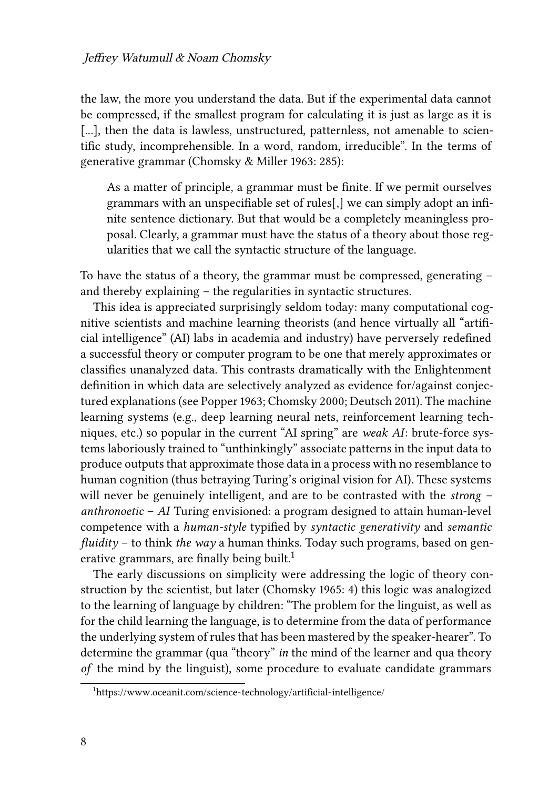the law, the more you understand the data. But if the experimental data cannot be compressed, if the smallest program for calculating it is just as large as it is [...], then the data is lawless, unstructured, patternless, not amenable to scientific study, incomprehensible. In a word, random, irreducible". In the terms of generative grammar([Chomsky & Miller 1963](#page-19-6): 285):

As a matter of principle, a grammar must be finite. If we permit ourselves grammars with an unspecifiable set of rules[,] we can simply adopt an infinite sentence dictionary. But that would be a completely meaningless proposal. Clearly, a grammar must have the status of a theory about those regularities that we call the syntactic structure of the language.

To have the status of a theory, the grammar must be compressed, generating – and thereby explaining – the regularities in syntactic structures.

This idea is appreciated surprisingly seldom today: many computational cognitive scientists and machine learning theorists (and hence virtually all "artificial intelligence" (AI) labs in academia and industry) have perversely redefined a successful theory or computer program to be one that merely approximates or classifies unanalyzed data. This contrasts dramatically with the Enlightenment definition in which data are selectively analyzed as evidence for/against conjectured explanations (see [Popper 1963](#page-20-4); [Chomsky 2000](#page-19-1); [Deutsch 2011\)](#page-19-7). The machine learning systems (e.g., deep learning neural nets, reinforcement learning techniques, etc.) so popular in the current "AI spring" are *weak AI*: brute-force systems laboriously trained to "unthinkingly" associate patterns in the input data to produce outputs that approximate those data in a process with no resemblance to human cognition (thus betraying Turing's original vision for AI). These systems will never be genuinely intelligent, and are to be contrasted with the *strong* – *anthronoetic* – *AI* Turing envisioned: a program designed to attain human-level competence with a *human-style* typified by *syntactic generativity* and *semantic fluidity* – to think *the way* a human thinks. Today such programs, based on generative grammars, are finally being built.<sup>1</sup>

The early discussions on simplicity were addressing the logic of theory construction by the scientist, but later([Chomsky 1965:](#page-18-5) 4) this logic was analogized to the learning of language by children: "The problem for the linguist, as well as for the child learning the language, is to determine from the data of performance the underlying system of rules that has been mastered by the speaker-hearer". To determine the grammar (qua "theory" *in* the mind of the learner and qua theory *of* the mind by the linguist), some procedure to evaluate candidate grammars

<sup>1</sup><https://www.oceanit.com/science-technology/artificial-intelligence/>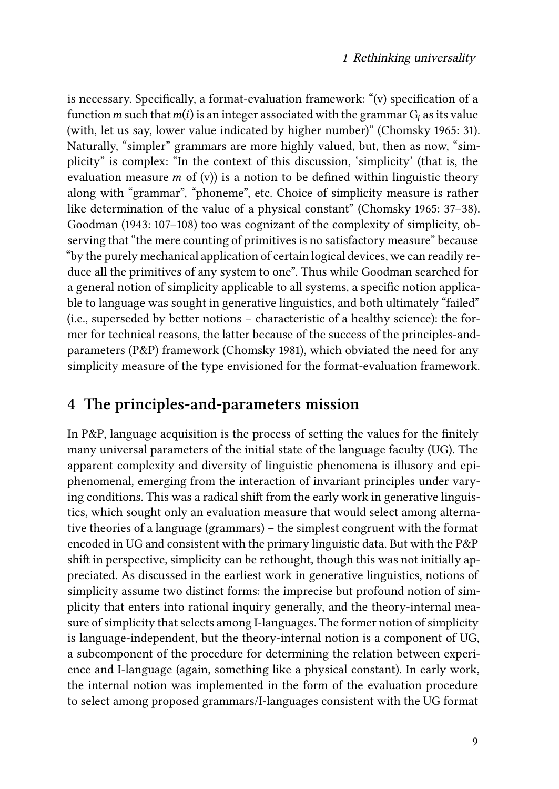is necessary. Specifically, a format-evaluation framework: "(v) specification of a function *m* such that  $m(i)$  is an integer associated with the grammar  $G_i$  as its value (with, let us say, lower value indicated by higher number)"([Chomsky 1965:](#page-18-5) 31). Naturally, "simpler" grammars are more highly valued, but, then as now, "simplicity" is complex: "In the context of this discussion, 'simplicity' (that is, the evaluation measure  $m$  of (v)) is a notion to be defined within linguistic theory along with "grammar", "phoneme", etc. Choice of simplicity measure is rather like determination of the value of a physical constant"([Chomsky 1965:](#page-18-5) 37–38). [Goodman \(1943](#page-19-5): 107–108) too was cognizant of the complexity of simplicity, observing that "the mere counting of primitives is no satisfactory measure" because "by the purely mechanical application of certain logical devices, we can readily reduce all the primitives of any system to one". Thus while Goodman searched for a general notion of simplicity applicable to all systems, a specific notion applicable to language was sought in generative linguistics, and both ultimately "failed" (i.e., superseded by better notions – characteristic of a healthy science): the former for technical reasons, the latter because of the success of the principles-andparameters (P&P) framework [\(Chomsky 1981\)](#page-19-8), which obviated the need for any simplicity measure of the type envisioned for the format-evaluation framework.

#### **4 The principles-and-parameters mission**

In P&P, language acquisition is the process of setting the values for the finitely many universal parameters of the initial state of the language faculty (UG). The apparent complexity and diversity of linguistic phenomena is illusory and epiphenomenal, emerging from the interaction of invariant principles under varying conditions. This was a radical shift from the early work in generative linguistics, which sought only an evaluation measure that would select among alternative theories of a language (grammars) – the simplest congruent with the format encoded in UG and consistent with the primary linguistic data. But with the P&P shift in perspective, simplicity can be rethought, though this was not initially appreciated. As discussed in the earliest work in generative linguistics, notions of simplicity assume two distinct forms: the imprecise but profound notion of simplicity that enters into rational inquiry generally, and the theory-internal measure of simplicity that selects among I-languages. The former notion of simplicity is language-independent, but the theory-internal notion is a component of UG, a subcomponent of the procedure for determining the relation between experience and I-language (again, something like a physical constant). In early work, the internal notion was implemented in the form of the evaluation procedure to select among proposed grammars/I-languages consistent with the UG format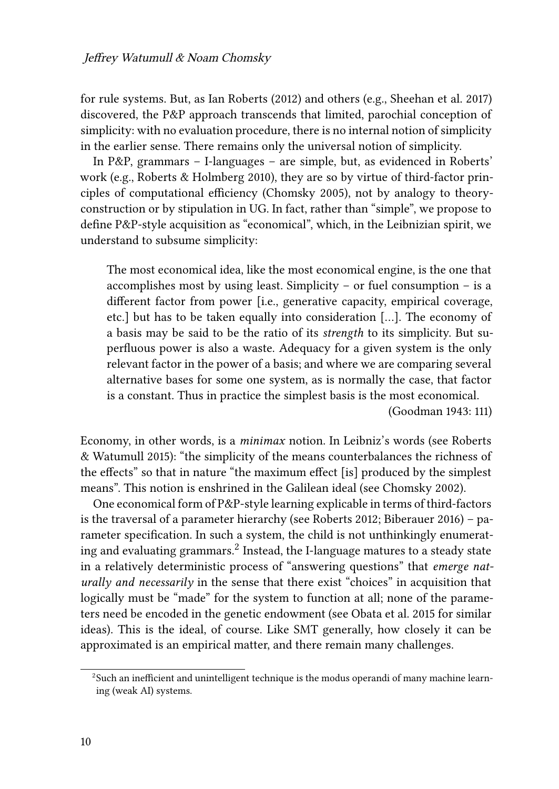for rule systems. But, as Ian [Roberts \(2012\)](#page-20-5) and others (e.g., [Sheehan et al. 2017](#page-21-4)) discovered, the P&P approach transcends that limited, parochial conception of simplicity: with no evaluation procedure, there is no internal notion of simplicity in the earlier sense. There remains only the universal notion of simplicity.

In P&P, grammars – I-languages – are simple, but, as evidenced in Roberts' work (e.g., [Roberts & Holmberg 2010](#page-20-6)), they are so by virtue of third-factor principles of computational efficiency([Chomsky 2005\)](#page-19-9), not by analogy to theoryconstruction or by stipulation in UG. In fact, rather than "simple", we propose to define P&P-style acquisition as "economical", which, in the Leibnizian spirit, we understand to subsume simplicity:

The most economical idea, like the most economical engine, is the one that accomplishes most by using least. Simplicity – or fuel consumption – is a different factor from power [i.e., generative capacity, empirical coverage, etc.] but has to be taken equally into consideration […]. The economy of a basis may be said to be the ratio of its *strength* to its simplicity. But superfluous power is also a waste. Adequacy for a given system is the only relevant factor in the power of a basis; and where we are comparing several alternative bases for some one system, as is normally the case, that factor is a constant. Thus in practice the simplest basis is the most economical.

[\(Goodman 1943](#page-19-5): 111)

Economy, in other words, is a *minimax* notion. In Leibniz's words (see [Roberts](#page-21-5) [& Watumull 2015](#page-21-5)): "the simplicity of the means counterbalances the richness of the effects" so that in nature "the maximum effect [is] produced by the simplest means". This notion is enshrined in the Galilean ideal (see [Chomsky 2002](#page-19-10)).

One economical form of P&P-style learning explicable in terms of third-factors is the traversal of a parameter hierarchy (see [Roberts 2012](#page-20-5); [Biberauer 2016\)](#page-18-6) – parameter specification. In such a system, the child is not unthinkingly enumerating and evaluating grammars. $^2$  Instead, the I-language matures to a steady state in a relatively deterministic process of "answering questions" that *emerge naturally and necessarily* in the sense that there exist "choices" in acquisition that logically must be "made" for the system to function at all; none of the parameters need be encoded in the genetic endowment (see [Obata et al. 2015](#page-20-7) for similar ideas). This is the ideal, of course. Like SMT generally, how closely it can be approximated is an empirical matter, and there remain many challenges.

 $2$ Such an inefficient and unintelligent technique is the modus operandi of many machine learning (weak AI) systems.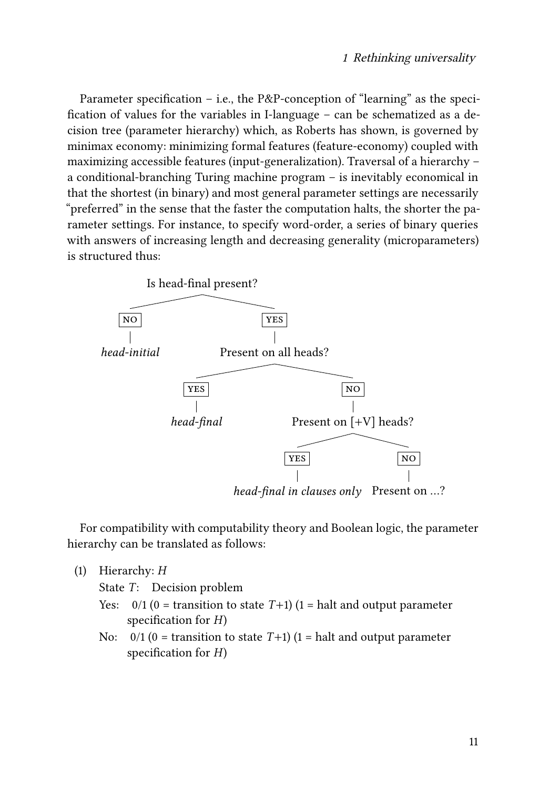Parameter specification – i.e., the P&P-conception of "learning" as the specification of values for the variables in I-language – can be schematized as a decision tree (parameter hierarchy) which, as Roberts has shown, is governed by minimax economy: minimizing formal features (feature-economy) coupled with maximizing accessible features (input-generalization). Traversal of a hierarchy – a conditional-branching Turing machine program – is inevitably economical in that the shortest (in binary) and most general parameter settings are necessarily "preferred" in the sense that the faster the computation halts, the shorter the parameter settings. For instance, to specify word-order, a series of binary queries with answers of increasing length and decreasing generality (microparameters) is structured thus:



For compatibility with computability theory and Boolean logic, the parameter hierarchy can be translated as follows:

(1) Hierarchy: *H*

State *T*: Decision problem

- Yes:  $0/1$  (0 = transition to state  $T+1$ ) (1 = halt and output parameter specification for *H*)
- No:  $0/1$  (0 = transition to state  $T+1$ ) (1 = halt and output parameter specification for *H*)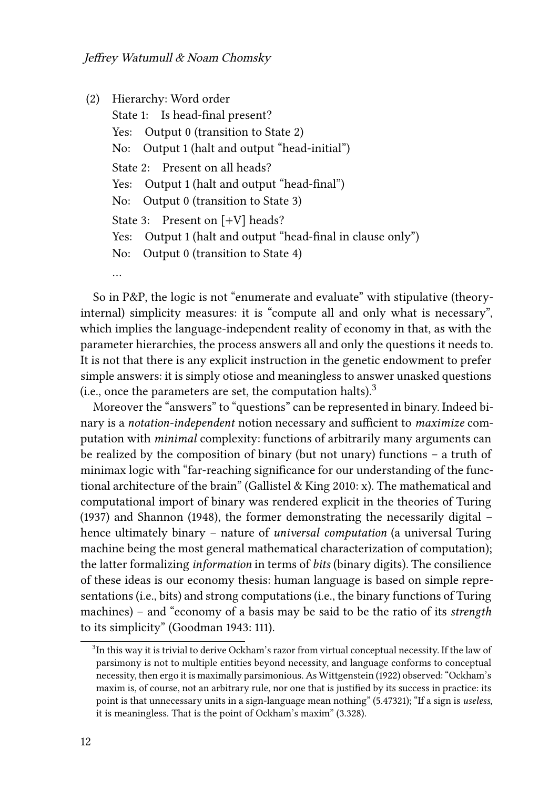```
(2) Hierarchy: Word order
State 1: Is head-final present?
Yes: Output 0 (transition to State 2)
No: Output 1 (halt and output "head-initial")
State 2: Present on all heads?
Yes: Output 1 (halt and output "head-final")
No: Output 0 (transition to State 3)
State 3: Present on [+V] heads?
Yes: Output 1 (halt and output "head-final in clause only")
No: Output 0 (transition to State 4)
…
```
So in P&P, the logic is not "enumerate and evaluate" with stipulative (theoryinternal) simplicity measures: it is "compute all and only what is necessary", which implies the language-independent reality of economy in that, as with the parameter hierarchies, the process answers all and only the questions it needs to. It is not that there is any explicit instruction in the genetic endowment to prefer simple answers: it is simply otiose and meaningless to answer unasked questions (i.e., once the parameters are set, the computation halts).<sup>3</sup>

Moreover the "answers" to "questions" can be represented in binary. Indeed binary is a *notation-independent* notion necessary and sufficient to *maximize* computation with *minimal* complexity: functions of arbitrarily many arguments can be realized by the composition of binary (but not unary) functions – a truth of minimax logic with "far-reaching significance for our understanding of the functional architecture of the brain" [\(Gallistel & King 2010:](#page-19-11) x). The mathematical and computational import of binary was rendered explicit in the theories of [Turing](#page-21-0) [\(1937\)](#page-21-0) and [Shannon \(1948\)](#page-21-6), the former demonstrating the necessarily digital – hence ultimately binary – nature of *universal computation* (a universal Turing machine being the most general mathematical characterization of computation); the latter formalizing *information* in terms of *bits* (binary digits). The consilience of these ideas is our economy thesis: human language is based on simple representations (i.e., bits) and strong computations (i.e., the binary functions of Turing machines) – and "economy of a basis may be said to be the ratio of its *strength* to its simplicity"([Goodman 1943](#page-19-5): 111).

 $^3$ In this way it is trivial to derive Ockham's razor from virtual conceptual necessity. If the law of parsimony is not to multiple entities beyond necessity, and language conforms to conceptual necessity, then ergo it is maximally parsimonious. As [Wittgenstein \(1922\)](#page-21-7) observed: "Ockham's maxim is, of course, not an arbitrary rule, nor one that is justified by its success in practice: its point is that unnecessary units in a sign-language mean nothing" (5.47321); "If a sign is *useless*, it is meaningless. That is the point of Ockham's maxim" (3.328).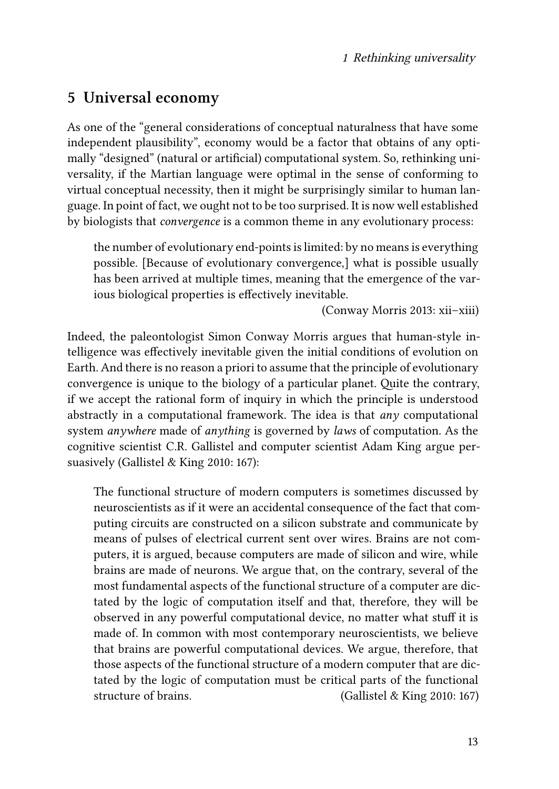### **5 Universal economy**

As one of the "general considerations of conceptual naturalness that have some independent plausibility", economy would be a factor that obtains of any optimally "designed" (natural or artificial) computational system. So, rethinking universality, if the Martian language were optimal in the sense of conforming to virtual conceptual necessity, then it might be surprisingly similar to human language. In point of fact, we ought not to be too surprised. It is now well established by biologists that *convergence* is a common theme in any evolutionary process:

the number of evolutionary end-points is limited: by no means is everything possible. [Because of evolutionary convergence,] what is possible usually has been arrived at multiple times, meaning that the emergence of the various biological properties is effectively inevitable.

([Conway Morris 2013](#page-19-12): xii–xiii)

Indeed, the paleontologist Simon Conway Morris argues that human-style intelligence was effectively inevitable given the initial conditions of evolution on Earth. And there is no reason a priori to assume that the principle of evolutionary convergence is unique to the biology of a particular planet. Quite the contrary, if we accept the rational form of inquiry in which the principle is understood abstractly in a computational framework. The idea is that *any* computational system *anywhere* made of *anything* is governed by *laws* of computation. As the cognitive scientist C.R. Gallistel and computer scientist Adam King argue persuasively [\(Gallistel & King 2010:](#page-19-11) 167):

The functional structure of modern computers is sometimes discussed by neuroscientists as if it were an accidental consequence of the fact that computing circuits are constructed on a silicon substrate and communicate by means of pulses of electrical current sent over wires. Brains are not computers, it is argued, because computers are made of silicon and wire, while brains are made of neurons. We argue that, on the contrary, several of the most fundamental aspects of the functional structure of a computer are dictated by the logic of computation itself and that, therefore, they will be observed in any powerful computational device, no matter what stuff it is made of. In common with most contemporary neuroscientists, we believe that brains are powerful computational devices. We argue, therefore, that those aspects of the functional structure of a modern computer that are dictated by the logic of computation must be critical parts of the functional structure of brains. [\(Gallistel & King 2010:](#page-19-11) 167)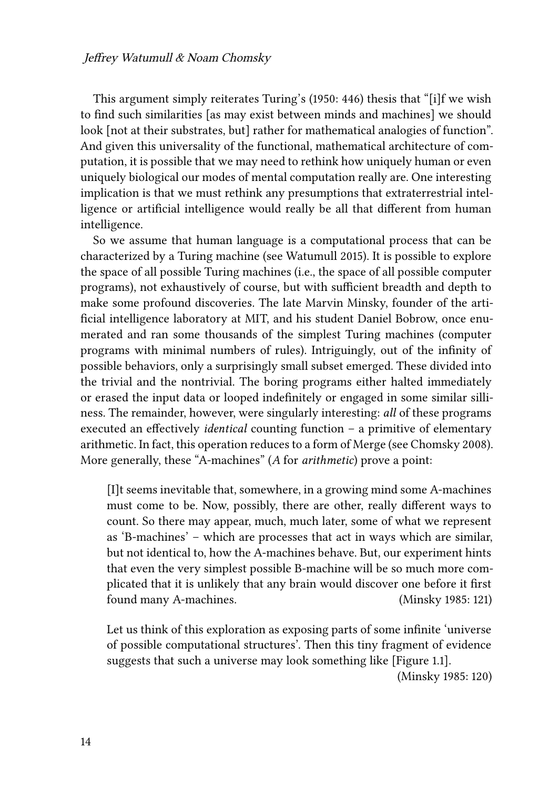This argument simply reiterates [Turing'](#page-21-8)s (1950: 446) thesis that "[i]f we wish to find such similarities [as may exist between minds and machines] we should look [not at their substrates, but] rather for mathematical analogies of function". And given this universality of the functional, mathematical architecture of computation, it is possible that we may need to rethink how uniquely human or even uniquely biological our modes of mental computation really are. One interesting implication is that we must rethink any presumptions that extraterrestrial intelligence or artificial intelligence would really be all that different from human intelligence.

So we assume that human language is a computational process that can be characterized by a Turing machine (see [Watumull 2015\)](#page-21-2). It is possible to explore the space of all possible Turing machines (i.e., the space of all possible computer programs), not exhaustively of course, but with sufficient breadth and depth to make some profound discoveries. The late Marvin Minsky, founder of the artificial intelligence laboratory at MIT, and his student Daniel Bobrow, once enumerated and ran some thousands of the simplest Turing machines (computer programs with minimal numbers of rules). Intriguingly, out of the infinity of possible behaviors, only a surprisingly small subset emerged. These divided into the trivial and the nontrivial. The boring programs either halted immediately or erased the input data or looped indefinitely or engaged in some similar silliness. The remainder, however, were singularly interesting: *all* of these programs executed an effectively *identical* counting function – a primitive of elementary arithmetic. In fact, this operation reduces to a form of Merge (see [Chomsky 2008\)](#page-19-13). More generally, these "A-machines" (*A* for *arithmetic*) prove a point:

[I]t seems inevitable that, somewhere, in a growing mind some A-machines must come to be. Now, possibly, there are other, really different ways to count. So there may appear, much, much later, some of what we represent as 'B-machines' – which are processes that act in ways which are similar, but not identical to, how the A-machines behave. But, our experiment hints that even the very simplest possible B-machine will be so much more complicated that it is unlikely that any brain would discover one before it first found many A-machines. [\(Minsky 1985:](#page-20-3) 121)

Let us think of this exploration as exposing parts of some infinite 'universe of possible computational structures'. Then this tiny fragment of evidence suggests that such a universe may look something like [Figure [1.1\]](#page-12-0).

[\(Minsky 1985](#page-20-3): 120)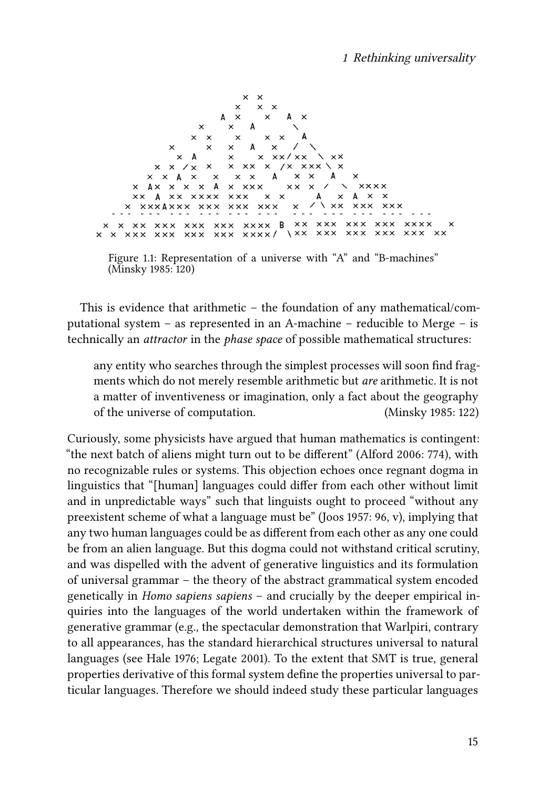<span id="page-12-0"></span>

Figure 1.1: Representation of a universe with "A" and "B-machines" [\(Minsky 1985:](#page-20-3) 120)

This is evidence that arithmetic – the foundation of any mathematical/computational system – as represented in an A-machine – reducible to Merge – is technically an *attractor* in the *phase space* of possible mathematical structures:

any entity who searches through the simplest processes will soon find fragments which do not merely resemble arithmetic but *are* arithmetic. It is not a matter of inventiveness or imagination, only a fact about the geography of the universe of computation. ([Minsky 1985](#page-20-3): 122)

Curiously, some physicists have argued that human mathematics is contingent: "the next batch of aliens might turn out to be different" [\(Alford 2006](#page-18-7): 774), with no recognizable rules or systems. This objection echoes once regnant dogma in linguistics that "[human] languages could differ from each other without limit and in unpredictable ways" such that linguists ought to proceed "without any preexistent scheme of what a language must be"([Joos 1957](#page-20-8): 96, v), implying that any two human languages could be as different from each other as any one could be from an alien language. But this dogma could not withstand critical scrutiny, and was dispelled with the advent of generative linguistics and its formulation of universal grammar – the theory of the abstract grammatical system encoded genetically in *Homo sapiens sapiens* – and crucially by the deeper empirical inquiries into the languages of the world undertaken within the framework of generative grammar (e.g., the spectacular demonstration that Warlpiri, contrary to all appearances, has the standard hierarchical structures universal to natural languages (see [Hale 1976](#page-20-9); [Legate 2001\)](#page-20-10). To the extent that SMT is true, general properties derivative of this formal system define the properties universal to particular languages. Therefore we should indeed study these particular languages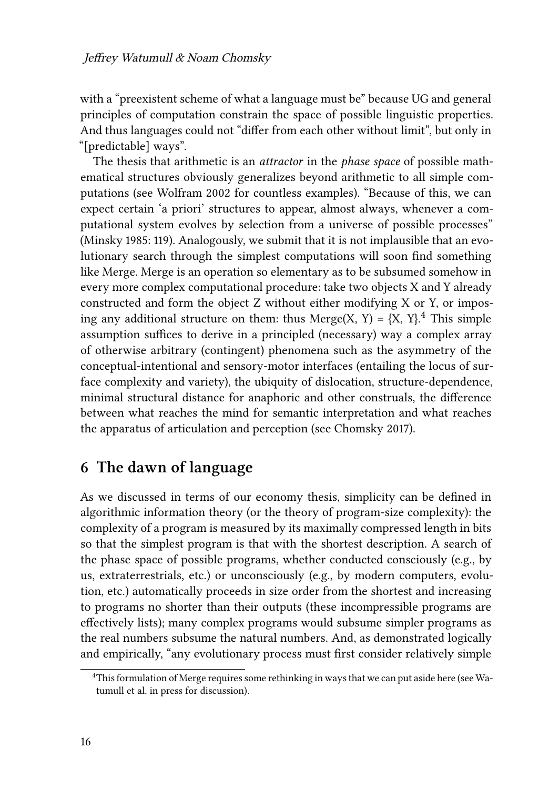with a "preexistent scheme of what a language must be" because UG and general principles of computation constrain the space of possible linguistic properties. And thus languages could not "differ from each other without limit", but only in "[predictable] ways".

The thesis that arithmetic is an *attractor* in the *phase space* of possible mathematical structures obviously generalizes beyond arithmetic to all simple computations (see [Wolfram 2002](#page-21-9) for countless examples). "Because of this, we can expect certain 'a priori' structures to appear, almost always, whenever a computational system evolves by selection from a universe of possible processes" [\(Minsky 1985:](#page-20-3) 119). Analogously, we submit that it is not implausible that an evolutionary search through the simplest computations will soon find something like Merge. Merge is an operation so elementary as to be subsumed somehow in every more complex computational procedure: take two objects X and Y already constructed and form the object Z without either modifying X or Y, or imposing any additional structure on them: thus Merge(X, Y) =  $\{X, Y\}$ <sup>4</sup>. This simple assumption suffices to derive in a principled (necessary) way a complex array of otherwise arbitrary (contingent) phenomena such as the asymmetry of the conceptual-intentional and sensory-motor interfaces (entailing the locus of surface complexity and variety), the ubiquity of dislocation, structure-dependence, minimal structural distance for anaphoric and other construals, the difference between what reaches the mind for semantic interpretation and what reaches the apparatus of articulation and perception (see [Chomsky 2017\)](#page-19-14).

### **6 The dawn of language**

As we discussed in terms of our economy thesis, simplicity can be defined in algorithmic information theory (or the theory of program-size complexity): the complexity of a program is measured by its maximally compressed length in bits so that the simplest program is that with the shortest description. A search of the phase space of possible programs, whether conducted consciously (e.g., by us, extraterrestrials, etc.) or unconsciously (e.g., by modern computers, evolution, etc.) automatically proceeds in size order from the shortest and increasing to programs no shorter than their outputs (these incompressible programs are effectively lists); many complex programs would subsume simpler programs as the real numbers subsume the natural numbers. And, as demonstrated logically and empirically, "any evolutionary process must first consider relatively simple

<sup>&</sup>lt;sup>4</sup>This formulation of Merge requires some rethinking in ways that we can put aside here (see [Wa](#page-21-10)[tumull et al. in press](#page-21-10) for discussion).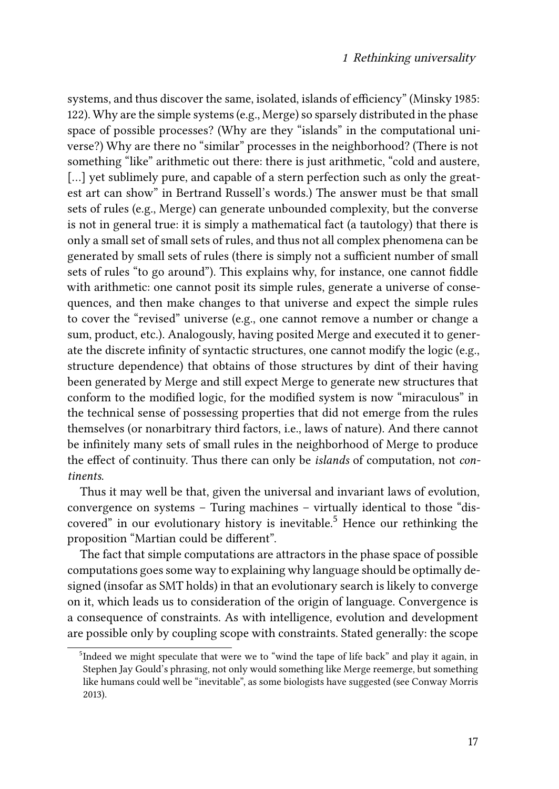systems, and thus discover the same, isolated, islands of efficiency" [\(Minsky 1985](#page-20-3): 122). Why are the simple systems (e.g., Merge) so sparsely distributed in the phase space of possible processes? (Why are they "islands" in the computational universe?) Why are there no "similar" processes in the neighborhood? (There is not something "like" arithmetic out there: there is just arithmetic, "cold and austere, [...] yet sublimely pure, and capable of a stern perfection such as only the greatest art can show" in Bertrand Russell's words.) The answer must be that small sets of rules (e.g., Merge) can generate unbounded complexity, but the converse is not in general true: it is simply a mathematical fact (a tautology) that there is only a small set of small sets of rules, and thus not all complex phenomena can be generated by small sets of rules (there is simply not a sufficient number of small sets of rules "to go around"). This explains why, for instance, one cannot fiddle with arithmetic: one cannot posit its simple rules, generate a universe of consequences, and then make changes to that universe and expect the simple rules to cover the "revised" universe (e.g., one cannot remove a number or change a sum, product, etc.). Analogously, having posited Merge and executed it to generate the discrete infinity of syntactic structures, one cannot modify the logic (e.g., structure dependence) that obtains of those structures by dint of their having been generated by Merge and still expect Merge to generate new structures that conform to the modified logic, for the modified system is now "miraculous" in the technical sense of possessing properties that did not emerge from the rules themselves (or nonarbitrary third factors, i.e., laws of nature). And there cannot be infinitely many sets of small rules in the neighborhood of Merge to produce the effect of continuity. Thus there can only be *islands* of computation, not *continents*.

Thus it may well be that, given the universal and invariant laws of evolution, convergence on systems – Turing machines – virtually identical to those "discovered" in our evolutionary history is inevitable.<sup>5</sup> Hence our rethinking the proposition "Martian could be different".

The fact that simple computations are attractors in the phase space of possible computations goes some way to explaining why language should be optimally designed (insofar as SMT holds) in that an evolutionary search is likely to converge on it, which leads us to consideration of the origin of language. Convergence is a consequence of constraints. As with intelligence, evolution and development are possible only by coupling scope with constraints. Stated generally: the scope

<sup>&</sup>lt;sup>5</sup>Indeed we might speculate that were we to "wind the tape of life back" and play it again, in Stephen Jay Gould's phrasing, not only would something like Merge reemerge, but something like humans could well be "inevitable", as some biologists have suggested (see [Conway Morris](#page-19-12) [2013\)](#page-19-12).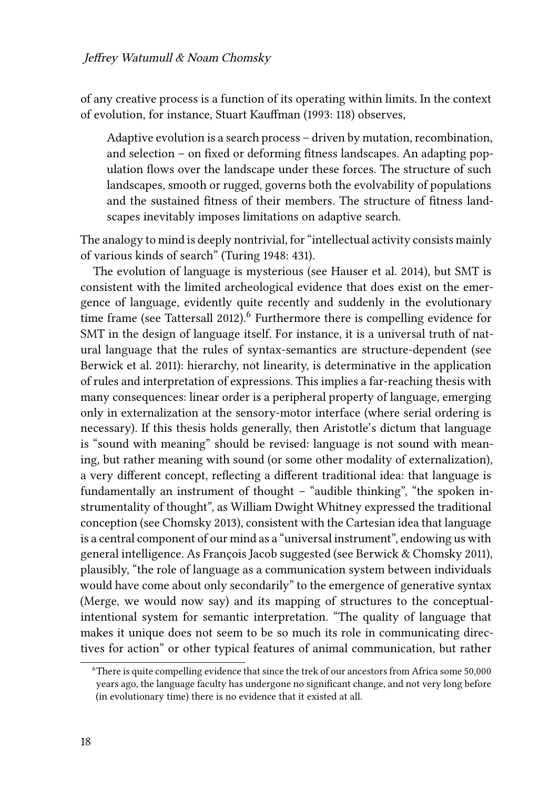of any creative process is a function of its operating within limits. In the context of evolution, for instance, Stuart [Kauffman \(1993](#page-20-11): 118) observes,

Adaptive evolution is a search process – driven by mutation, recombination, and selection – on fixed or deforming fitness landscapes. An adapting population flows over the landscape under these forces. The structure of such landscapes, smooth or rugged, governs both the evolvability of populations and the sustained fitness of their members. The structure of fitness landscapes inevitably imposes limitations on adaptive search.

The analogy to mind is deeply nontrivial, for "intellectual activity consists mainly of various kinds of search" [\(Turing 1948](#page-21-11): 431).

The evolution of language is mysterious (see [Hauser et al. 2014\)](#page-20-12), but SMT is consistent with the limited archeological evidence that does exist on the emergence of language, evidently quite recently and suddenly in the evolutionary time frame (see [Tattersall 2012\)](#page-21-12).<sup>6</sup> Furthermore there is compelling evidence for SMT in the design of language itself. For instance, it is a universal truth of natural language that the rules of syntax-semantics are structure-dependent (see [Berwick et al. 2011\)](#page-18-2): hierarchy, not linearity, is determinative in the application of rules and interpretation of expressions. This implies a far-reaching thesis with many consequences: linear order is a peripheral property of language, emerging only in externalization at the sensory-motor interface (where serial ordering is necessary). If this thesis holds generally, then Aristotle's dictum that language is "sound with meaning" should be revised: language is not sound with meaning, but rather meaning with sound (or some other modality of externalization), a very different concept, reflecting a different traditional idea: that language is fundamentally an instrument of thought – "audible thinking", "the spoken instrumentality of thought", as William Dwight Whitney expressed the traditional conception (see [Chomsky 2013](#page-19-4)), consistent with the Cartesian idea that language is a central component of our mind as a "universal instrument", endowing us with general intelligence. As François Jacob suggested (see [Berwick & Chomsky 2011](#page-18-8)), plausibly, "the role of language as a communication system between individuals would have come about only secondarily" to the emergence of generative syntax (Merge, we would now say) and its mapping of structures to the conceptualintentional system for semantic interpretation. "The quality of language that makes it unique does not seem to be so much its role in communicating directives for action" or other typical features of animal communication, but rather

<sup>6</sup>There is quite compelling evidence that since the trek of our ancestors from Africa some 50,000 years ago, the language faculty has undergone no significant change, and not very long before (in evolutionary time) there is no evidence that it existed at all.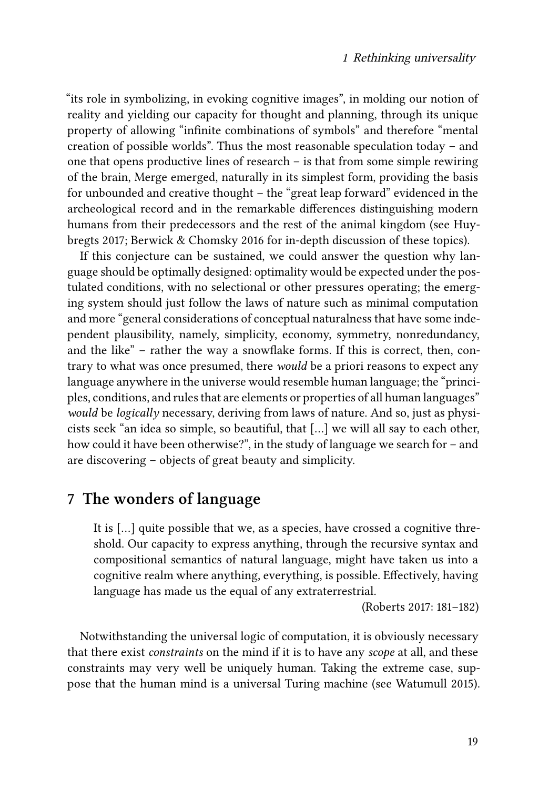"its role in symbolizing, in evoking cognitive images", in molding our notion of reality and yielding our capacity for thought and planning, through its unique property of allowing "infinite combinations of symbols" and therefore "mental creation of possible worlds". Thus the most reasonable speculation today – and one that opens productive lines of research – is that from some simple rewiring of the brain, Merge emerged, naturally in its simplest form, providing the basis for unbounded and creative thought – the "great leap forward" evidenced in the archeological record and in the remarkable differences distinguishing modern humans from their predecessors and the rest of the animal kingdom (see [Huy](#page-20-13)[bregts 2017](#page-20-13); [Berwick & Chomsky 2016](#page-18-0) for in-depth discussion of these topics).

If this conjecture can be sustained, we could answer the question why language should be optimally designed: optimality would be expected under the postulated conditions, with no selectional or other pressures operating; the emerging system should just follow the laws of nature such as minimal computation and more "general considerations of conceptual naturalness that have some independent plausibility, namely, simplicity, economy, symmetry, nonredundancy, and the like" – rather the way a snowflake forms. If this is correct, then, contrary to what was once presumed, there *would* be a priori reasons to expect any language anywhere in the universe would resemble human language; the "principles, conditions, and rules that are elements or properties of all human languages" *would* be *logically* necessary, deriving from laws of nature. And so, just as physicists seek "an idea so simple, so beautiful, that […] we will all say to each other, how could it have been otherwise?", in the study of language we search for – and are discovering – objects of great beauty and simplicity.

### **7 The wonders of language**

It is […] quite possible that we, as a species, have crossed a cognitive threshold. Our capacity to express anything, through the recursive syntax and compositional semantics of natural language, might have taken us into a cognitive realm where anything, everything, is possible. Effectively, having language has made us the equal of any extraterrestrial.

[\(Roberts 2017](#page-20-0): 181–182)

Notwithstanding the universal logic of computation, it is obviously necessary that there exist *constraints* on the mind if it is to have any *scope* at all, and these constraints may very well be uniquely human. Taking the extreme case, suppose that the human mind is a universal Turing machine (see [Watumull 2015](#page-21-2)).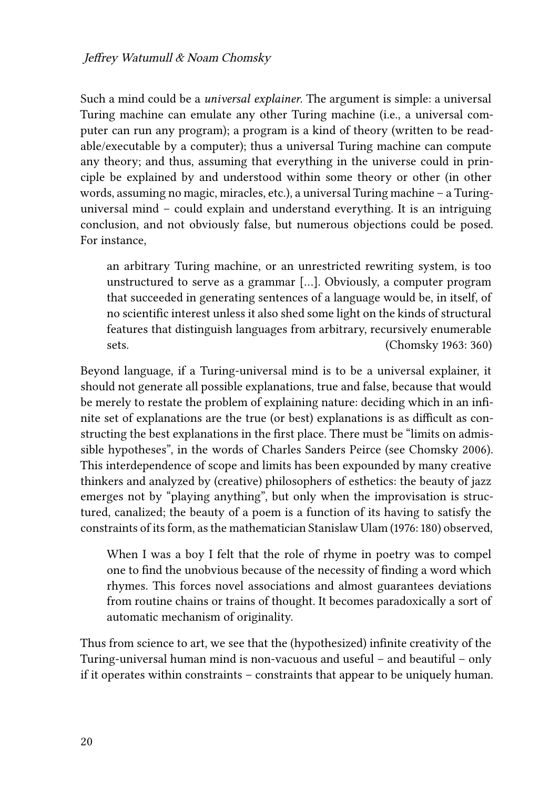Such a mind could be a *universal explainer*. The argument is simple: a universal Turing machine can emulate any other Turing machine (i.e., a universal computer can run any program); a program is a kind of theory (written to be readable/executable by a computer); thus a universal Turing machine can compute any theory; and thus, assuming that everything in the universe could in principle be explained by and understood within some theory or other (in other words, assuming no magic, miracles, etc.), a universal Turing machine – a Turinguniversal mind – could explain and understand everything. It is an intriguing conclusion, and not obviously false, but numerous objections could be posed. For instance,

an arbitrary Turing machine, or an unrestricted rewriting system, is too unstructured to serve as a grammar […]. Obviously, a computer program that succeeded in generating sentences of a language would be, in itself, of no scientific interest unless it also shed some light on the kinds of structural features that distinguish languages from arbitrary, recursively enumerable sets. ([Chomsky 1963](#page-18-9): 360)

Beyond language, if a Turing-universal mind is to be a universal explainer, it should not generate all possible explanations, true and false, because that would be merely to restate the problem of explaining nature: deciding which in an infinite set of explanations are the true (or best) explanations is as difficult as constructing the best explanations in the first place. There must be "limits on admissible hypotheses", in the words of Charles Sanders Peirce (see [Chomsky 2006\)](#page-19-15). This interdependence of scope and limits has been expounded by many creative thinkers and analyzed by (creative) philosophers of esthetics: the beauty of jazz emerges not by "playing anything", but only when the improvisation is structured, canalized; the beauty of a poem is a function of its having to satisfy the constraints of its form, as the mathematician Stanislaw [Ulam \(1976](#page-21-13): 180) observed,

When I was a boy I felt that the role of rhyme in poetry was to compel one to find the unobvious because of the necessity of finding a word which rhymes. This forces novel associations and almost guarantees deviations from routine chains or trains of thought. It becomes paradoxically a sort of automatic mechanism of originality.

Thus from science to art, we see that the (hypothesized) infinite creativity of the Turing-universal human mind is non-vacuous and useful – and beautiful – only if it operates within constraints – constraints that appear to be uniquely human.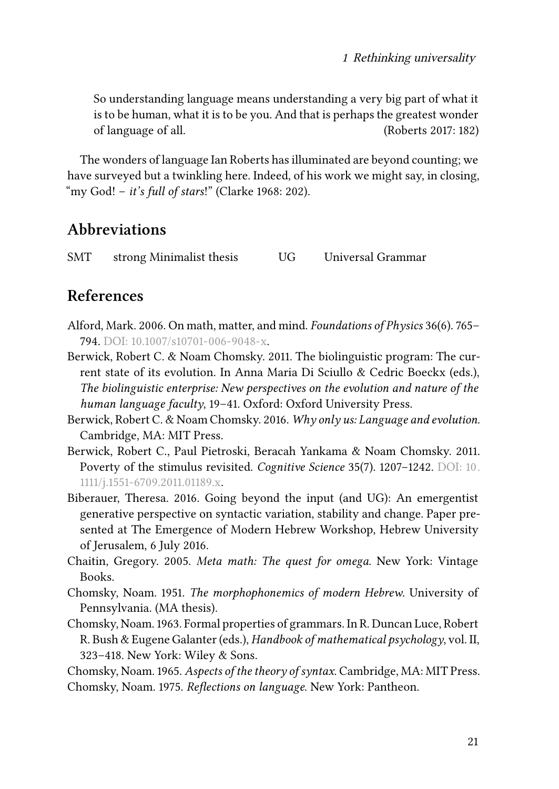So understanding language means understanding a very big part of what it is to be human, what it is to be you. And that is perhaps the greatest wonder of language of all. [\(Roberts 2017](#page-20-0): 182)

The wonders of language Ian Roberts has illuminated are beyond counting; we have surveyed but a twinkling here. Indeed, of his work we might say, in closing, "my God! – *it's full of stars*!" [\(Clarke 1968:](#page-19-16) 202).

## **Abbreviations**

SMT strong Minimalist thesis UG Universal Grammar

### **References**

- <span id="page-18-7"></span>Alford, Mark. 2006. On math, matter, and mind. *Foundations of Physics* 36(6). 765– 794. DOI: [10.1007/s10701-006-9048-x](https://doi.org/10.1007/s10701-006-9048-x).
- <span id="page-18-8"></span>Berwick, Robert C. & Noam Chomsky. 2011. The biolinguistic program: The current state of its evolution. In Anna Maria Di Sciullo & Cedric Boeckx (eds.), *The biolinguistic enterprise: New perspectives on the evolution and nature of the human language faculty*, 19–41. Oxford: Oxford University Press.
- <span id="page-18-0"></span>Berwick, Robert C. & Noam Chomsky. 2016. *Why only us: Language and evolution*. Cambridge, MA: MIT Press.
- <span id="page-18-2"></span>Berwick, Robert C., Paul Pietroski, Beracah Yankama & Noam Chomsky. 2011. Poverty of the stimulus revisited. *Cognitive Science* 35(7). 1207–1242. DOI: [10.](https://doi.org/10.1111/j.1551-6709.2011.01189.x) [1111/j.1551-6709.2011.01189.x](https://doi.org/10.1111/j.1551-6709.2011.01189.x).
- <span id="page-18-6"></span>Biberauer, Theresa. 2016. Going beyond the input (and UG): An emergentist generative perspective on syntactic variation, stability and change. Paper presented at The Emergence of Modern Hebrew Workshop, Hebrew University of Jerusalem, 6 July 2016.
- <span id="page-18-4"></span>Chaitin, Gregory. 2005. *Meta math: The quest for omega*. New York: Vintage Books.
- <span id="page-18-3"></span>Chomsky, Noam. 1951. *The morphophonemics of modern Hebrew*. University of Pennsylvania. (MA thesis).
- <span id="page-18-9"></span>Chomsky, Noam. 1963. Formal properties of grammars. In R. Duncan Luce, Robert R. Bush & Eugene Galanter (eds.), *Handbook of mathematical psychology*, vol. II, 323–418. New York: Wiley & Sons.

<span id="page-18-5"></span><span id="page-18-1"></span>Chomsky, Noam. 1965. *Aspects of the theory of syntax*. Cambridge, MA: MIT Press. Chomsky, Noam. 1975. *Reflections on language*. New York: Pantheon.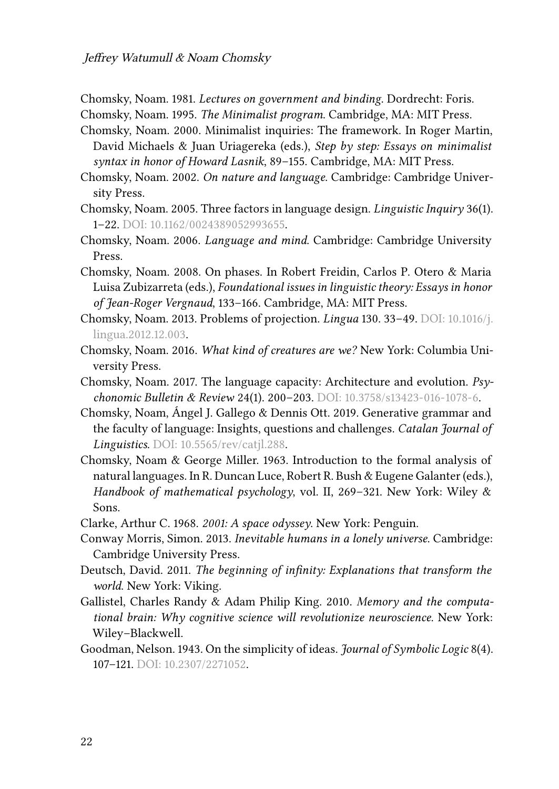<span id="page-19-8"></span>Chomsky, Noam. 1981. *Lectures on government and binding*. Dordrecht: Foris.

<span id="page-19-2"></span>Chomsky, Noam. 1995. *The Minimalist program*. Cambridge, MA: MIT Press.

- <span id="page-19-1"></span>Chomsky, Noam. 2000. Minimalist inquiries: The framework. In Roger Martin, David Michaels & Juan Uriagereka (eds.), *Step by step: Essays on minimalist syntax in honor of Howard Lasnik*, 89–155. Cambridge, MA: MIT Press.
- <span id="page-19-10"></span>Chomsky, Noam. 2002. *On nature and language*. Cambridge: Cambridge University Press.
- <span id="page-19-9"></span>Chomsky, Noam. 2005. Three factors in language design. *Linguistic Inquiry* 36(1). 1–22. DOI: [10.1162/0024389052993655.](https://doi.org/10.1162/0024389052993655)
- <span id="page-19-15"></span>Chomsky, Noam. 2006. *Language and mind*. Cambridge: Cambridge University Press.
- <span id="page-19-13"></span>Chomsky, Noam. 2008. On phases. In Robert Freidin, Carlos P. Otero & Maria Luisa Zubizarreta (eds.), *Foundational issues in linguistic theory: Essays in honor of Jean-Roger Vergnaud*, 133–166. Cambridge, MA: MIT Press.
- <span id="page-19-4"></span>Chomsky, Noam. 2013. Problems of projection. *Lingua* 130. 33–49. DOI: [10.1016/j.](https://doi.org/10.1016/j.lingua.2012.12.003) [lingua.2012.12.003](https://doi.org/10.1016/j.lingua.2012.12.003).
- <span id="page-19-0"></span>Chomsky, Noam. 2016. *What kind of creatures are we?* New York: Columbia University Press.
- <span id="page-19-14"></span>Chomsky, Noam. 2017. The language capacity: Architecture and evolution. *Psychonomic Bulletin & Review* 24(1). 200–203. DOI: [10.3758/s13423-016-1078-6.](https://doi.org/10.3758/s13423-016-1078-6)
- <span id="page-19-3"></span>Chomsky, Noam, Ángel J. Gallego & Dennis Ott. 2019. Generative grammar and the faculty of language: Insights, questions and challenges. *Catalan Journal of Linguistics*. DOI: [10.5565/rev/catjl.288.](https://doi.org/10.5565/rev/catjl.288)
- <span id="page-19-6"></span>Chomsky, Noam & George Miller. 1963. Introduction to the formal analysis of natural languages. In R. Duncan Luce, Robert R. Bush & Eugene Galanter (eds.), *Handbook of mathematical psychology*, vol. II, 269–321. New York: Wiley & Sons.

<span id="page-19-16"></span>Clarke, Arthur C. 1968. *2001: A space odyssey*. New York: Penguin.

- <span id="page-19-12"></span>Conway Morris, Simon. 2013. *Inevitable humans in a lonely universe*. Cambridge: Cambridge University Press.
- <span id="page-19-7"></span>Deutsch, David. 2011. *The beginning of infinity: Explanations that transform the world*. New York: Viking.
- <span id="page-19-11"></span>Gallistel, Charles Randy & Adam Philip King. 2010. *Memory and the computational brain: Why cognitive science will revolutionize neuroscience*. New York: Wiley–Blackwell.
- <span id="page-19-5"></span>Goodman, Nelson. 1943. On the simplicity of ideas. *Journal of Symbolic Logic* 8(4). 107–121. DOI: [10.2307/2271052](https://doi.org/10.2307/2271052).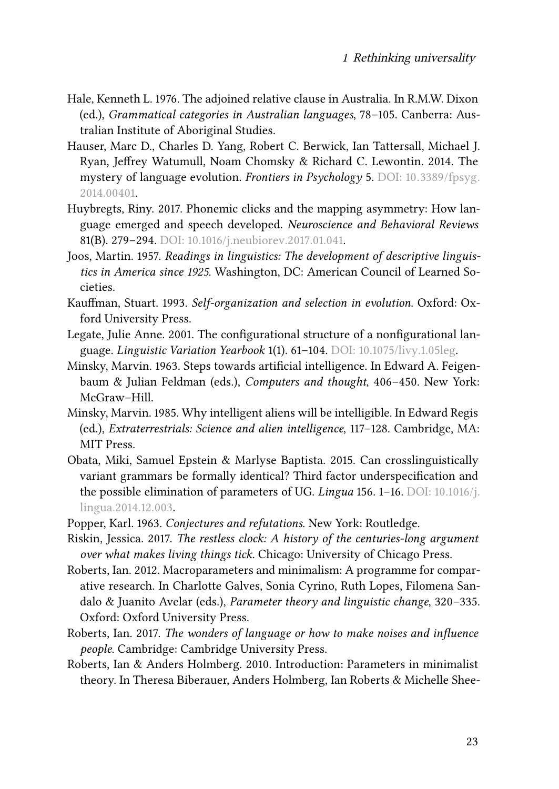- <span id="page-20-9"></span>Hale, Kenneth L. 1976. The adjoined relative clause in Australia. In R.M.W. Dixon (ed.), *Grammatical categories in Australian languages*, 78–105. Canberra: Australian Institute of Aboriginal Studies.
- <span id="page-20-12"></span>Hauser, Marc D., Charles D. Yang, Robert C. Berwick, Ian Tattersall, Michael J. Ryan, Jeffrey Watumull, Noam Chomsky & Richard C. Lewontin. 2014. The mystery of language evolution. *Frontiers in Psychology* 5. DOI: [10.3389/fpsyg.](https://doi.org/10.3389/fpsyg.2014.00401) [2014.00401](https://doi.org/10.3389/fpsyg.2014.00401).
- <span id="page-20-13"></span>Huybregts, Riny. 2017. Phonemic clicks and the mapping asymmetry: How language emerged and speech developed. *Neuroscience and Behavioral Reviews* 81(B). 279–294. DOI: [10.1016/j.neubiorev.2017.01.041.](https://doi.org/10.1016/j.neubiorev.2017.01.041)
- <span id="page-20-8"></span>Joos, Martin. 1957. *Readings in linguistics: The development of descriptive linguistics in America since 1925*. Washington, DC: American Council of Learned Societies.
- <span id="page-20-11"></span>Kauffman, Stuart. 1993. *Self-organization and selection in evolution*. Oxford: Oxford University Press.
- <span id="page-20-10"></span>Legate, Julie Anne. 2001. The configurational structure of a nonfigurational language. *Linguistic Variation Yearbook* 1(1). 61–104. DOI: [10.1075/livy.1.05leg.](https://doi.org/10.1075/livy.1.05leg)
- <span id="page-20-2"></span>Minsky, Marvin. 1963. Steps towards artificial intelligence. In Edward A. Feigenbaum & Julian Feldman (eds.), *Computers and thought*, 406–450. New York: McGraw–Hill.
- <span id="page-20-3"></span>Minsky, Marvin. 1985. Why intelligent aliens will be intelligible. In Edward Regis (ed.), *Extraterrestrials: Science and alien intelligence*, 117–128. Cambridge, MA: MIT Press.
- <span id="page-20-7"></span>Obata, Miki, Samuel Epstein & Marlyse Baptista. 2015. Can crosslinguistically variant grammars be formally identical? Third factor underspecification and the possible elimination of parameters of UG. *Lingua* 156. 1–16. DOI: [10.1016/j.](https://doi.org/10.1016/j.lingua.2014.12.003) [lingua.2014.12.003.](https://doi.org/10.1016/j.lingua.2014.12.003)
- <span id="page-20-4"></span>Popper, Karl. 1963. *Conjectures and refutations*. New York: Routledge.
- <span id="page-20-1"></span>Riskin, Jessica. 2017. *The restless clock: A history of the centuries-long argument over what makes living things tick*. Chicago: University of Chicago Press.
- <span id="page-20-5"></span>Roberts, Ian. 2012. Macroparameters and minimalism: A programme for comparative research. In Charlotte Galves, Sonia Cyrino, Ruth Lopes, Filomena Sandalo & Juanito Avelar (eds.), *Parameter theory and linguistic change*, 320–335. Oxford: Oxford University Press.
- <span id="page-20-0"></span>Roberts, Ian. 2017. *The wonders of language or how to make noises and influence people*. Cambridge: Cambridge University Press.
- <span id="page-20-6"></span>Roberts, Ian & Anders Holmberg. 2010. Introduction: Parameters in minimalist theory. In Theresa Biberauer, Anders Holmberg, Ian Roberts & Michelle Shee-